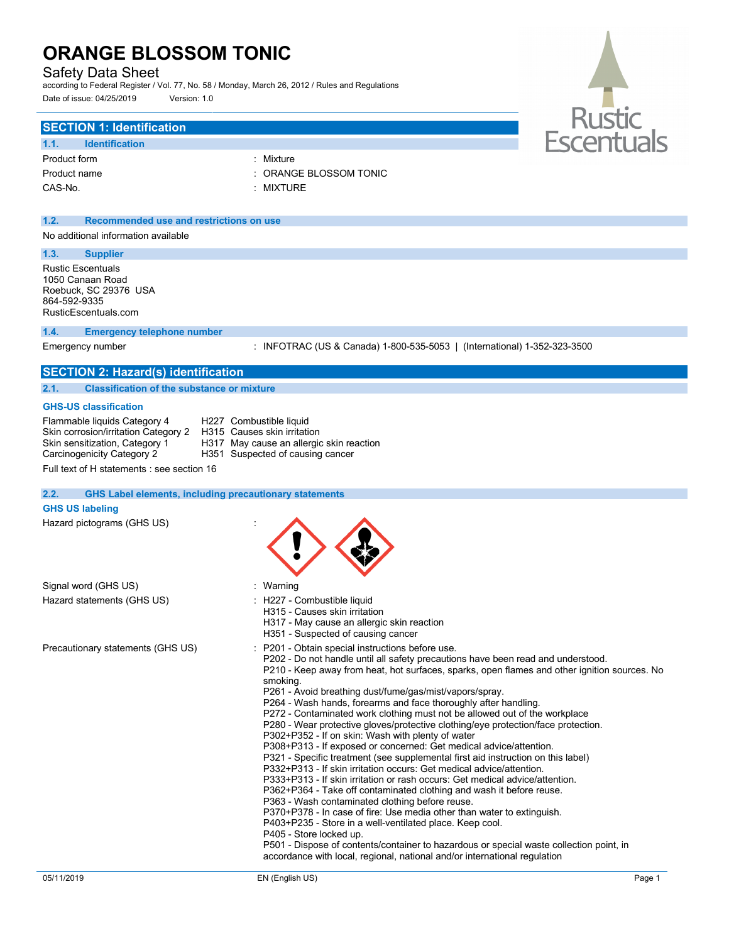### Safety Data Sheet

according to Federal Register / Vol. 77, No. 58 / Monday, March 26, 2012 / Rules and Regulations Date of issue: 04/25/2019 Version: 1.0

### **SECTION 1: Identification**

| 1.1.         | <b>Identification</b> |
|--------------|-----------------------|
| Product form |                       |
| Product name |                       |
| CAS-No.      |                       |

: Mixture : ORANGE BLOSSOM TONIC

: MIXTURE

### **1.2. Recommended use and restrictions on use**

No additional information available

### **1.3. Supplier**

Rustic Escentuals 1050 Canaan Road Roebuck, SC 29376 USA 864-592-9335 RusticEscentuals.com

#### **1.4. Emergency telephone number**

Emergency number : INFOTRAC (US & Canada) 1-800-535-5053 | (International) 1-352-323-3500

### **SECTION 2: Hazard(s) identification 2.1. Classification of the substance or mixture**

#### **GHS-US classification**

| Flammable liquids Category 4<br>Skin corrosion/irritation Category 2 | H227 Combustible liquid<br>H315 Causes skin irritation                       |
|----------------------------------------------------------------------|------------------------------------------------------------------------------|
| Skin sensitization, Category 1<br>Carcinogenicity Category 2         | H317 May cause an allergic skin reaction<br>H351 Suspected of causing cancer |

Full text of H statements : see section 16

#### **2.2. GHS Label elements, including precautionary statements**

#### **GHS US labeling**

Hazard pictograms (GHS US) :

| Signal word (GHS US)              | : Warning                                                                                                                                                                                                                                                                                                                                                                                                                                                                                                                                                                                                                                                                                                                                                                                                                                                                                                                                                                                                                                                                                                                                                                                                                                                                                                                                                                                    |
|-----------------------------------|----------------------------------------------------------------------------------------------------------------------------------------------------------------------------------------------------------------------------------------------------------------------------------------------------------------------------------------------------------------------------------------------------------------------------------------------------------------------------------------------------------------------------------------------------------------------------------------------------------------------------------------------------------------------------------------------------------------------------------------------------------------------------------------------------------------------------------------------------------------------------------------------------------------------------------------------------------------------------------------------------------------------------------------------------------------------------------------------------------------------------------------------------------------------------------------------------------------------------------------------------------------------------------------------------------------------------------------------------------------------------------------------|
| Hazard statements (GHS US)        | : H227 - Combustible liquid<br>H315 - Causes skin irritation<br>H317 - May cause an allergic skin reaction<br>H351 - Suspected of causing cancer                                                                                                                                                                                                                                                                                                                                                                                                                                                                                                                                                                                                                                                                                                                                                                                                                                                                                                                                                                                                                                                                                                                                                                                                                                             |
| Precautionary statements (GHS US) | : P201 - Obtain special instructions before use.<br>P202 - Do not handle until all safety precautions have been read and understood.<br>P210 - Keep away from heat, hot surfaces, sparks, open flames and other ignition sources. No<br>smoking.<br>P261 - Avoid breathing dust/fume/gas/mist/vapors/spray.<br>P264 - Wash hands, forearms and face thoroughly after handling.<br>P272 - Contaminated work clothing must not be allowed out of the workplace<br>P280 - Wear protective gloves/protective clothing/eye protection/face protection.<br>P302+P352 - If on skin: Wash with plenty of water<br>P308+P313 - If exposed or concerned: Get medical advice/attention.<br>P321 - Specific treatment (see supplemental first aid instruction on this label)<br>P332+P313 - If skin irritation occurs: Get medical advice/attention.<br>P333+P313 - If skin irritation or rash occurs: Get medical advice/attention.<br>P362+P364 - Take off contaminated clothing and wash it before reuse.<br>P363 - Wash contaminated clothing before reuse.<br>P370+P378 - In case of fire: Use media other than water to extinguish.<br>P403+P235 - Store in a well-ventilated place. Keep cool.<br>P405 - Store locked up.<br>P501 - Dispose of contents/container to hazardous or special waste collection point, in<br>accordance with local, regional, national and/or international regulation |



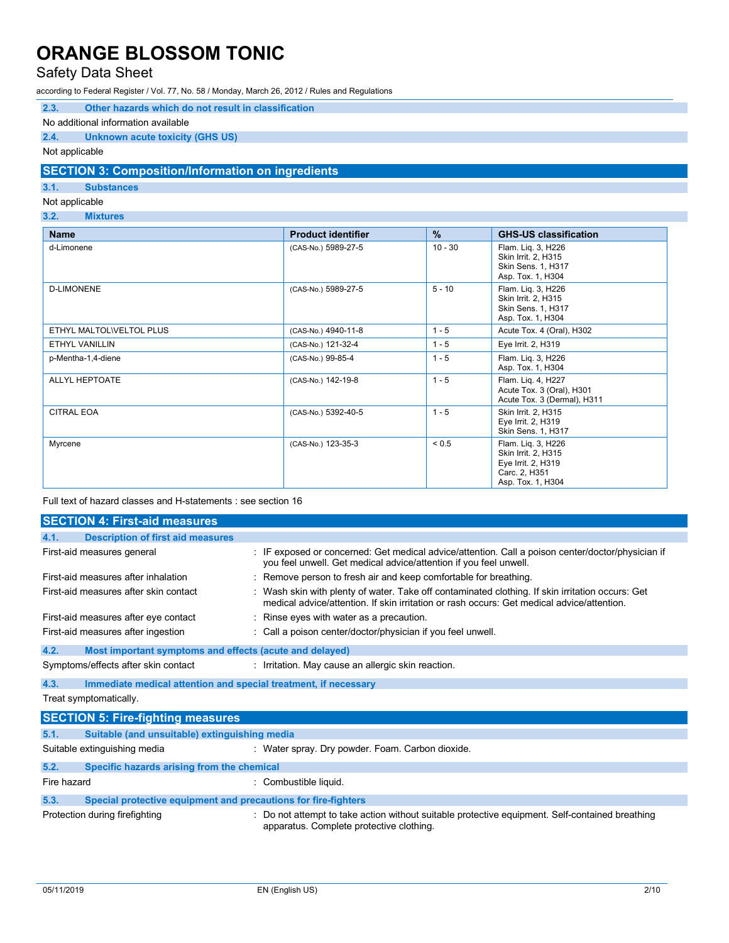### Safety Data Sheet

according to Federal Register / Vol. 77, No. 58 / Monday, March 26, 2012 / Rules and Regulations

### **2.3. Other hazards which do not result in classification**

#### No additional information available

### **2.4. Unknown acute toxicity (GHS US)**

### Not applicable

### **SECTION 3: Composition/Information on ingredients**

### **3.1. Substances**

### Not applicable

### **3.2. Mixtures**

| <b>Name</b>             | <b>Product identifier</b> | $\frac{9}{6}$ | <b>GHS-US classification</b>                                                                          |
|-------------------------|---------------------------|---------------|-------------------------------------------------------------------------------------------------------|
| d-Limonene              | (CAS-No.) 5989-27-5       | $10 - 30$     | Flam. Liq. 3, H226<br>Skin Irrit. 2, H315<br>Skin Sens. 1, H317<br>Asp. Tox. 1, H304                  |
| <b>D-LIMONENE</b>       | (CAS-No.) 5989-27-5       | $5 - 10$      | Flam. Liq. 3, H226<br>Skin Irrit. 2, H315<br>Skin Sens. 1, H317<br>Asp. Tox. 1, H304                  |
| ETHYL MALTOLWELTOL PLUS | (CAS-No.) 4940-11-8       | $1 - 5$       | Acute Tox. 4 (Oral), H302                                                                             |
| <b>ETHYL VANILLIN</b>   | (CAS-No.) 121-32-4        | $1 - 5$       | Eye Irrit. 2, H319                                                                                    |
| p-Mentha-1,4-diene      | (CAS-No.) 99-85-4         | $1 - 5$       | Flam. Lig. 3, H226<br>Asp. Tox. 1, H304                                                               |
| ALLYL HEPTOATE          | (CAS-No.) 142-19-8        | $1 - 5$       | Flam. Liq. 4, H227<br>Acute Tox. 3 (Oral), H301<br>Acute Tox. 3 (Dermal), H311                        |
| <b>CITRAL EOA</b>       | (CAS-No.) 5392-40-5       | $1 - 5$       | Skin Irrit. 2, H315<br>Eye Irrit. 2, H319<br>Skin Sens. 1, H317                                       |
| Myrcene                 | (CAS-No.) 123-35-3        | ${}_{0.5}$    | Flam. Liq. 3, H226<br>Skin Irrit. 2, H315<br>Eye Irrit. 2, H319<br>Carc. 2, H351<br>Asp. Tox. 1, H304 |

Full text of hazard classes and H-statements : see section 16

|             | <b>SECTION 4: First-aid measures</b>                            |                                                                                                                                                                                                |
|-------------|-----------------------------------------------------------------|------------------------------------------------------------------------------------------------------------------------------------------------------------------------------------------------|
| 4.1.        | <b>Description of first aid measures</b>                        |                                                                                                                                                                                                |
|             | First-aid measures general                                      | : IF exposed or concerned: Get medical advice/attention. Call a poison center/doctor/physician if<br>you feel unwell. Get medical advice/attention if you feel unwell.                         |
|             | First-aid measures after inhalation                             | : Remove person to fresh air and keep comfortable for breathing.                                                                                                                               |
|             | First-aid measures after skin contact                           | : Wash skin with plenty of water. Take off contaminated clothing. If skin irritation occurs: Get<br>medical advice/attention. If skin irritation or rash occurs: Get medical advice/attention. |
|             | First-aid measures after eye contact                            | : Rinse eyes with water as a precaution.                                                                                                                                                       |
|             | First-aid measures after ingestion                              | : Call a poison center/doctor/physician if you feel unwell.                                                                                                                                    |
| 4.2.        | Most important symptoms and effects (acute and delayed)         |                                                                                                                                                                                                |
|             | Symptoms/effects after skin contact                             | : Irritation. May cause an allergic skin reaction.                                                                                                                                             |
| 4.3.        | Immediate medical attention and special treatment, if necessary |                                                                                                                                                                                                |
|             | Treat symptomatically.                                          |                                                                                                                                                                                                |
|             | <b>SECTION 5: Fire-fighting measures</b>                        |                                                                                                                                                                                                |
| 5.1.        | Suitable (and unsuitable) extinguishing media                   |                                                                                                                                                                                                |
|             | Suitable extinguishing media                                    | : Water spray. Dry powder. Foam. Carbon dioxide.                                                                                                                                               |
| 5.2.        | Specific hazards arising from the chemical                      |                                                                                                                                                                                                |
| Fire hazard |                                                                 | : Combustible liquid.                                                                                                                                                                          |
| 5.3.        | Special protective equipment and precautions for fire-fighters  |                                                                                                                                                                                                |
|             | Protection during firefighting                                  | : Do not attempt to take action without suitable protective equipment. Self-contained breathing<br>apparatus. Complete protective clothing.                                                    |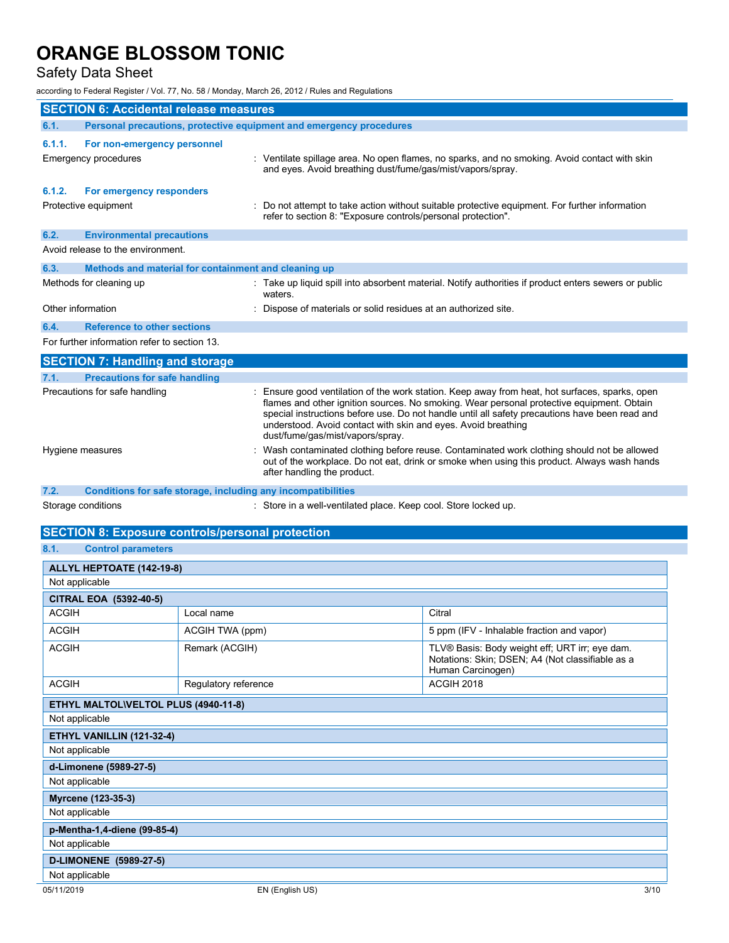### Safety Data Sheet

according to Federal Register / Vol. 77, No. 58 / Monday, March 26, 2012 / Rules and Regulations

| <b>SECTION 6: Accidental release measures</b> |                                                                     |                                                                                                                                                                                                                                                                                                                                                                                                  |
|-----------------------------------------------|---------------------------------------------------------------------|--------------------------------------------------------------------------------------------------------------------------------------------------------------------------------------------------------------------------------------------------------------------------------------------------------------------------------------------------------------------------------------------------|
| 6.1.                                          | Personal precautions, protective equipment and emergency procedures |                                                                                                                                                                                                                                                                                                                                                                                                  |
| 6.1.1.                                        | For non-emergency personnel<br>Emergency procedures                 | : Ventilate spillage area. No open flames, no sparks, and no smoking. Avoid contact with skin<br>and eyes. Avoid breathing dust/fume/gas/mist/vapors/spray.                                                                                                                                                                                                                                      |
| 6.1.2.                                        | For emergency responders<br>Protective equipment                    | : Do not attempt to take action without suitable protective equipment. For further information<br>refer to section 8: "Exposure controls/personal protection".                                                                                                                                                                                                                                   |
| 6.2.                                          | <b>Environmental precautions</b>                                    |                                                                                                                                                                                                                                                                                                                                                                                                  |
|                                               | Avoid release to the environment.                                   |                                                                                                                                                                                                                                                                                                                                                                                                  |
| 6.3.                                          | Methods and material for containment and cleaning up                |                                                                                                                                                                                                                                                                                                                                                                                                  |
|                                               | Methods for cleaning up                                             | : Take up liquid spill into absorbent material. Notify authorities if product enters sewers or public<br>waters.                                                                                                                                                                                                                                                                                 |
| Other information                             |                                                                     | Dispose of materials or solid residues at an authorized site.                                                                                                                                                                                                                                                                                                                                    |
| 6.4.                                          | <b>Reference to other sections</b>                                  |                                                                                                                                                                                                                                                                                                                                                                                                  |
|                                               | For further information refer to section 13.                        |                                                                                                                                                                                                                                                                                                                                                                                                  |
|                                               | <b>SECTION 7: Handling and storage</b>                              |                                                                                                                                                                                                                                                                                                                                                                                                  |
| 7.1.                                          | <b>Precautions for safe handling</b>                                |                                                                                                                                                                                                                                                                                                                                                                                                  |
|                                               | Precautions for safe handling                                       | Ensure good ventilation of the work station. Keep away from heat, hot surfaces, sparks, open<br>flames and other ignition sources. No smoking. Wear personal protective equipment. Obtain<br>special instructions before use. Do not handle until all safety precautions have been read and<br>understood. Avoid contact with skin and eyes. Avoid breathing<br>dust/fume/gas/mist/vapors/spray. |
|                                               | Hygiene measures                                                    | Wash contaminated clothing before reuse. Contaminated work clothing should not be allowed<br>out of the workplace. Do not eat, drink or smoke when using this product. Always wash hands<br>after handling the product.                                                                                                                                                                          |
| 7.2.                                          | Conditions for safe storage, including any incompatibilities        |                                                                                                                                                                                                                                                                                                                                                                                                  |
|                                               | Storage conditions                                                  | : Store in a well-ventilated place. Keep cool. Store locked up.                                                                                                                                                                                                                                                                                                                                  |
|                                               | <b>SECTION 8: Exposure controls/personal protection</b>             |                                                                                                                                                                                                                                                                                                                                                                                                  |

|                | <b>PULD FIOR 0. EXPOSURE CONTROLS PETS</b> |  |
|----------------|--------------------------------------------|--|
|                |                                            |  |
| R <sub>1</sub> | Control narameters                         |  |

| v.<br><b>OUTROL DRIGHTOLOGY</b> |                                      |                                                                                                                         |
|---------------------------------|--------------------------------------|-------------------------------------------------------------------------------------------------------------------------|
| ALLYL HEPTOATE (142-19-8)       |                                      |                                                                                                                         |
| Not applicable                  |                                      |                                                                                                                         |
| <b>CITRAL EOA (5392-40-5)</b>   |                                      |                                                                                                                         |
| <b>ACGIH</b>                    | Local name                           | Citral                                                                                                                  |
| <b>ACGIH</b>                    | ACGIH TWA (ppm)                      | 5 ppm (IFV - Inhalable fraction and vapor)                                                                              |
| <b>ACGIH</b>                    | Remark (ACGIH)                       | TLV® Basis: Body weight eff; URT irr; eye dam.<br>Notations: Skin; DSEN; A4 (Not classifiable as a<br>Human Carcinogen) |
| <b>ACGIH</b>                    | Regulatory reference                 | ACGIH 2018                                                                                                              |
|                                 | ETHYL MALTOL\VELTOL PLUS (4940-11-8) |                                                                                                                         |
| Not applicable                  |                                      |                                                                                                                         |
| ETHYL VANILLIN (121-32-4)       |                                      |                                                                                                                         |
| Not applicable                  |                                      |                                                                                                                         |
| d-Limonene (5989-27-5)          |                                      |                                                                                                                         |
| Not applicable                  |                                      |                                                                                                                         |
| Myrcene (123-35-3)              |                                      |                                                                                                                         |
| Not applicable                  |                                      |                                                                                                                         |
| p-Mentha-1,4-diene (99-85-4)    |                                      |                                                                                                                         |
| Not applicable                  |                                      |                                                                                                                         |
| D-LIMONENE (5989-27-5)          |                                      |                                                                                                                         |
| Not applicable                  |                                      |                                                                                                                         |
| 05/11/2019                      | EN (English US)                      | 3/10                                                                                                                    |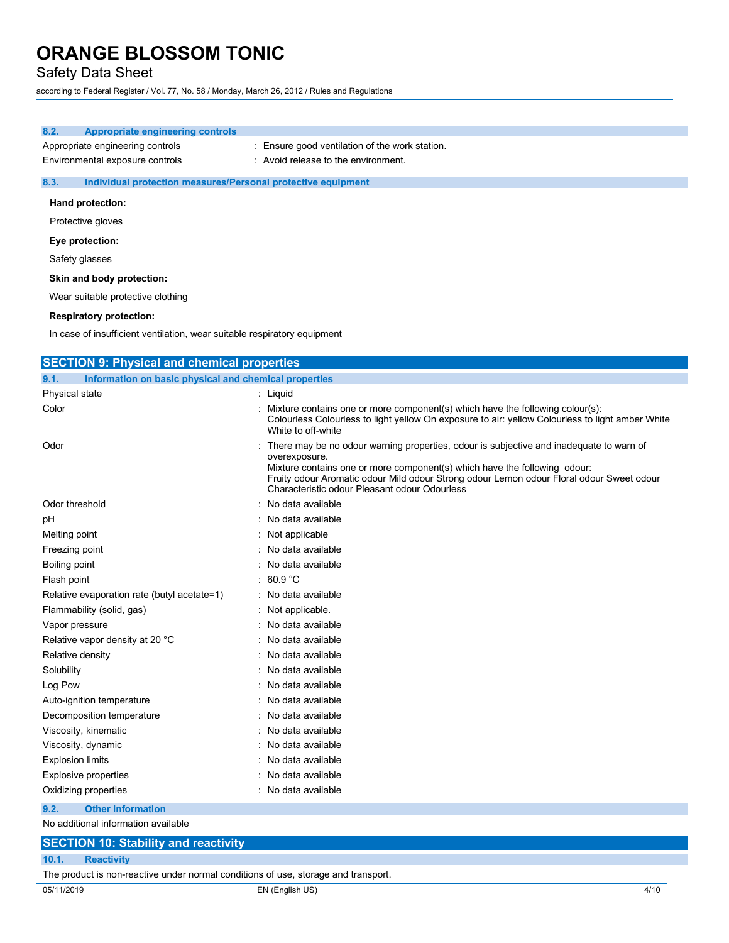### Safety Data Sheet

according to Federal Register / Vol. 77, No. 58 / Monday, March 26, 2012 / Rules and Regulations

| 8.2. | Appropriate engineering controls                                    |                                                                                       |
|------|---------------------------------------------------------------------|---------------------------------------------------------------------------------------|
|      | Appropriate engineering controls<br>Environmental exposure controls | : Ensure good ventilation of the work station.<br>: Avoid release to the environment. |
| 8.3. | Individual protection measures/Personal protective equipment        |                                                                                       |

### **Hand protection:**

Protective gloves

#### **Eye protection:**

Safety glasses

#### **Skin and body protection:**

Wear suitable protective clothing

#### **Respiratory protection:**

In case of insufficient ventilation, wear suitable respiratory equipment

| <b>SECTION 9: Physical and chemical properties</b>            |                                                                                                                                                                                                                                                                                                                                      |  |
|---------------------------------------------------------------|--------------------------------------------------------------------------------------------------------------------------------------------------------------------------------------------------------------------------------------------------------------------------------------------------------------------------------------|--|
| Information on basic physical and chemical properties<br>9.1. |                                                                                                                                                                                                                                                                                                                                      |  |
| Physical state                                                | : Liquid                                                                                                                                                                                                                                                                                                                             |  |
| Color                                                         | : Mixture contains one or more component(s) which have the following colour(s):<br>Colourless Colourless to light yellow On exposure to air: yellow Colourless to light amber White<br>White to off-white                                                                                                                            |  |
| Odor                                                          | : There may be no odour warning properties, odour is subjective and inadequate to warn of<br>overexposure.<br>Mixture contains one or more component(s) which have the following odour:<br>Fruity odour Aromatic odour Mild odour Strong odour Lemon odour Floral odour Sweet odour<br>Characteristic odour Pleasant odour Odourless |  |
| Odor threshold                                                | : No data available                                                                                                                                                                                                                                                                                                                  |  |
| рH                                                            | : No data available                                                                                                                                                                                                                                                                                                                  |  |
| Melting point                                                 | : Not applicable                                                                                                                                                                                                                                                                                                                     |  |
| Freezing point                                                | No data available                                                                                                                                                                                                                                                                                                                    |  |
| Boiling point                                                 | : No data available                                                                                                                                                                                                                                                                                                                  |  |
| Flash point                                                   | : 60.9 °C                                                                                                                                                                                                                                                                                                                            |  |
| Relative evaporation rate (butyl acetate=1)                   | : No data available                                                                                                                                                                                                                                                                                                                  |  |
| Flammability (solid, gas)                                     | : Not applicable.                                                                                                                                                                                                                                                                                                                    |  |
| Vapor pressure                                                | : No data available                                                                                                                                                                                                                                                                                                                  |  |
| Relative vapor density at 20 °C                               | No data available                                                                                                                                                                                                                                                                                                                    |  |
| Relative density                                              | : No data available                                                                                                                                                                                                                                                                                                                  |  |
| Solubility                                                    | : No data available                                                                                                                                                                                                                                                                                                                  |  |
| Log Pow                                                       | No data available                                                                                                                                                                                                                                                                                                                    |  |
| Auto-ignition temperature                                     | : No data available                                                                                                                                                                                                                                                                                                                  |  |
| Decomposition temperature                                     | : No data available                                                                                                                                                                                                                                                                                                                  |  |
| Viscosity, kinematic                                          | No data available                                                                                                                                                                                                                                                                                                                    |  |
| Viscosity, dynamic                                            | : No data available                                                                                                                                                                                                                                                                                                                  |  |
| <b>Explosion limits</b>                                       | No data available                                                                                                                                                                                                                                                                                                                    |  |
| <b>Explosive properties</b>                                   | No data available                                                                                                                                                                                                                                                                                                                    |  |
| Oxidizing properties                                          | : No data available                                                                                                                                                                                                                                                                                                                  |  |
| 9.2.<br><b>Other information</b>                              |                                                                                                                                                                                                                                                                                                                                      |  |
| No additional information available                           |                                                                                                                                                                                                                                                                                                                                      |  |

### **SECTION 10: Stability and reactivity 10.1. Reactivity**

The product is non-reactive under normal conditions of use, storage and transport.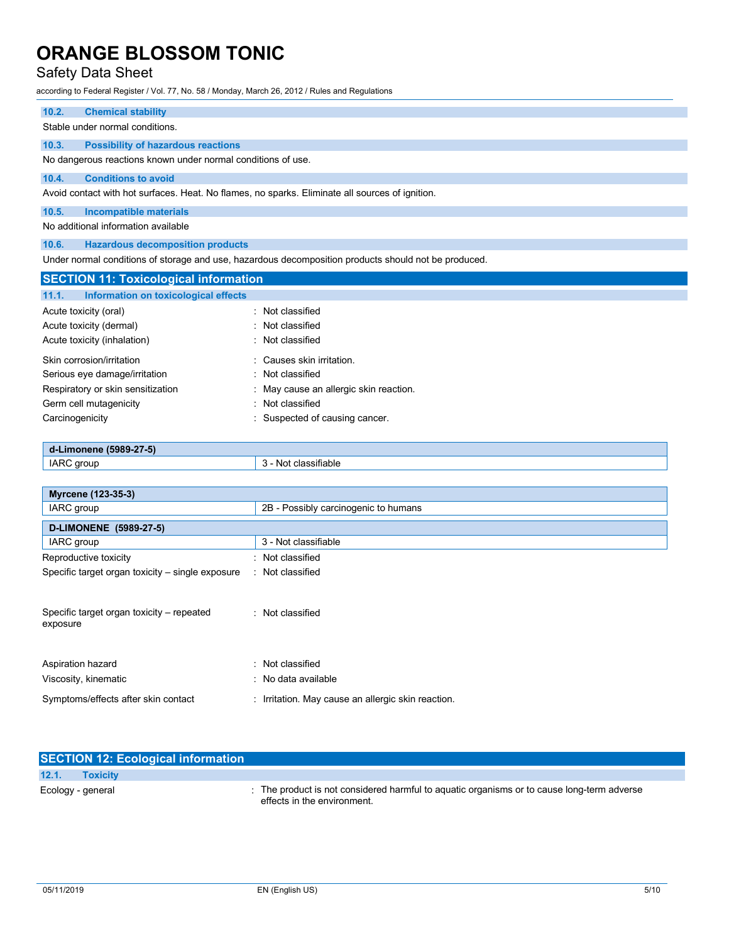### Safety Data Sheet

according to Federal Register / Vol. 77, No. 58 / Monday, March 26, 2012 / Rules and Regulations

#### **10.2. Chemical stability**

Stable under normal conditions.

#### **10.3. Possibility of hazardous reactions**

No dangerous reactions known under normal conditions of use.

### **10.4. Conditions to avoid**

Avoid contact with hot surfaces. Heat. No flames, no sparks. Eliminate all sources of ignition.

### **10.5. Incompatible materials**

No additional information available

### **10.6. Hazardous decomposition products**

Under normal conditions of storage and use, hazardous decomposition products should not be produced.

| <b>SECTION 11: Toxicological information</b>  |                                        |
|-----------------------------------------------|----------------------------------------|
| 11.1.<br>Information on toxicological effects |                                        |
| Acute toxicity (oral)                         | : Not classified                       |
| Acute toxicity (dermal)                       | : Not classified                       |
| Acute toxicity (inhalation)                   | : Not classified                       |
| Skin corrosion/irritation                     | : Causes skin irritation.              |
| Serious eye damage/irritation                 | : Not classified                       |
| Respiratory or skin sensitization             | : May cause an allergic skin reaction. |
| Germ cell mutagenicity                        | : Not classified                       |
| Carcinogenicity                               | Suspected of causing cancer.           |

### **d-Limonene (5989-27-5)**  IARC group 3 - Not classifiable

| Myrcene (123-35-3)                                    |                                                    |
|-------------------------------------------------------|----------------------------------------------------|
| IARC group                                            | 2B - Possibly carcinogenic to humans               |
| D-LIMONENE (5989-27-5)                                |                                                    |
| IARC group                                            | 3 - Not classifiable                               |
| Reproductive toxicity                                 | : Not classified                                   |
| Specific target organ toxicity – single exposure      | : Not classified                                   |
| Specific target organ toxicity – repeated<br>exposure | : Not classified                                   |
| Aspiration hazard                                     | : Not classified                                   |
| Viscosity, kinematic                                  | : No data available                                |
| Symptoms/effects after skin contact                   | : Irritation. May cause an allergic skin reaction. |

|                          | <b>SECTION 12: Ecological information</b>                                                                               |
|--------------------------|-------------------------------------------------------------------------------------------------------------------------|
| 12.1.<br><b>Toxicity</b> |                                                                                                                         |
| Ecology - general        | The product is not considered harmful to aquatic organisms or to cause long-term adverse<br>effects in the environment. |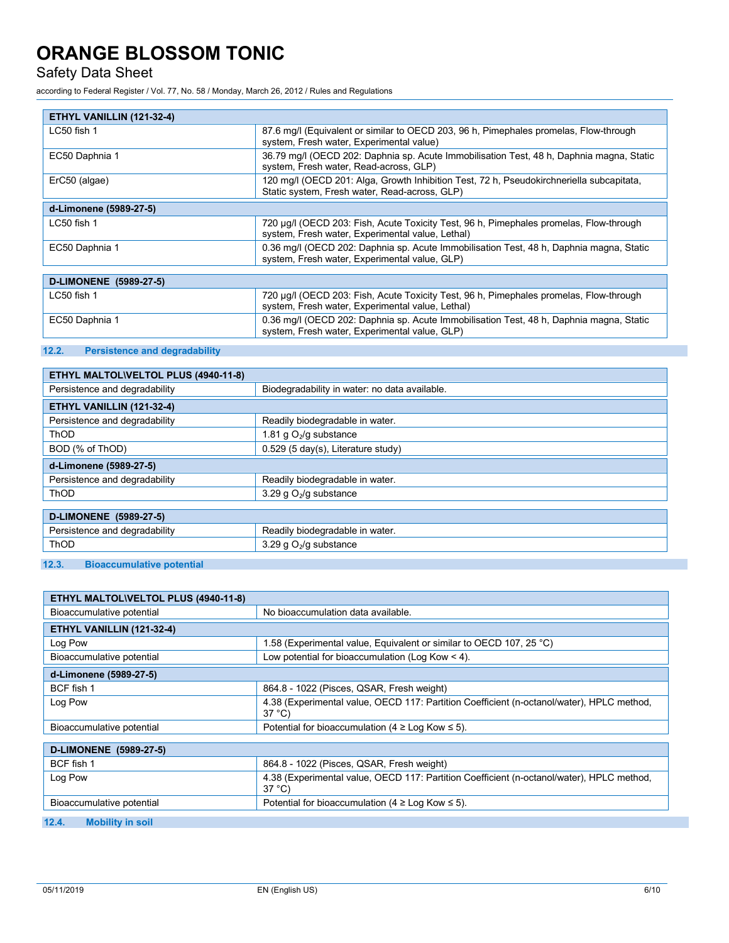Safety Data Sheet

according to Federal Register / Vol. 77, No. 58 / Monday, March 26, 2012 / Rules and Regulations

| ETHYL VANILLIN (121-32-4) |                                                                                                                                            |
|---------------------------|--------------------------------------------------------------------------------------------------------------------------------------------|
| LC50 fish 1               | 87.6 mg/l (Equivalent or similar to OECD 203, 96 h, Pimephales promelas, Flow-through<br>system, Fresh water, Experimental value)          |
| EC50 Daphnia 1            | 36.79 mg/l (OECD 202: Daphnia sp. Acute Immobilisation Test, 48 h, Daphnia magna, Static<br>system, Fresh water, Read-across, GLP)         |
| ErC50 (algae)             | 120 mg/l (OECD 201: Alga, Growth Inhibition Test, 72 h, Pseudokirchneriella subcapitata,<br>Static system, Fresh water, Read-across, GLP)  |
| d-Limonene (5989-27-5)    |                                                                                                                                            |
| LC50 fish 1               | 720 µg/l (OECD 203: Fish, Acute Toxicity Test, 96 h, Pimephales promelas, Flow-through<br>system, Fresh water, Experimental value, Lethal) |
| EC50 Daphnia 1            | 0.36 mg/l (OECD 202: Daphnia sp. Acute Immobilisation Test, 48 h, Daphnia magna, Static<br>system, Fresh water, Experimental value, GLP)   |
|                           |                                                                                                                                            |
| D-LIMONENE (5989-27-5)    |                                                                                                                                            |
| LC50 fish 1               | 720 µg/l (OECD 203: Fish, Acute Toxicity Test, 96 h, Pimephales promelas, Flow-through<br>system, Fresh water, Experimental value, Lethal) |
| EC50 Daphnia 1            | 0.36 mg/l (OECD 202: Daphnia sp. Acute Immobilisation Test, 48 h, Daphnia magna, Static<br>system, Fresh water, Experimental value, GLP)   |

### **12.2. Persistence and degradability**

| Biodegradability in water: no data available. |
|-----------------------------------------------|
|                                               |
| Readily biodegradable in water.               |
| 1.81 g $O_2$ /g substance                     |
| 0.529 (5 day(s), Literature study)            |
|                                               |
| Readily biodegradable in water.               |
| 3.29 g $O2/g$ substance                       |
|                                               |
|                                               |
| Readily biodegradable in water.               |
| 3.29 q $O2/q$ substance                       |
|                                               |

### **12.3. Bioaccumulative potential**

| ETHYL MALTOL\VELTOL PLUS (4940-11-8) |                                                                                                              |  |
|--------------------------------------|--------------------------------------------------------------------------------------------------------------|--|
| Bioaccumulative potential            | No bioaccumulation data available.                                                                           |  |
| ETHYL VANILLIN (121-32-4)            |                                                                                                              |  |
| Log Pow                              | 1.58 (Experimental value, Equivalent or similar to OECD 107, 25 °C)                                          |  |
| Bioaccumulative potential            | Low potential for bioaccumulation (Log Kow $<$ 4).                                                           |  |
| d-Limonene (5989-27-5)               |                                                                                                              |  |
| BCF fish 1                           | 864.8 - 1022 (Pisces, QSAR, Fresh weight)                                                                    |  |
| Log Pow                              | 4.38 (Experimental value, OECD 117: Partition Coefficient (n-octanol/water), HPLC method,<br>$37^{\circ}$ C) |  |
| Bioaccumulative potential            | Potential for bioaccumulation (4 $\geq$ Log Kow $\leq$ 5).                                                   |  |
| D-LIMONENE (5989-27-5)               |                                                                                                              |  |
| BCF fish 1                           | 864.8 - 1022 (Pisces, QSAR, Fresh weight)                                                                    |  |
| Log Pow                              | 4.38 (Experimental value, OECD 117: Partition Coefficient (n-octanol/water), HPLC method,<br>$37^{\circ}$ C) |  |
| Bioaccumulative potential            | Potential for bioaccumulation (4 $\geq$ Log Kow $\leq$ 5).                                                   |  |
| 12.4.<br><b>Mobility in soil</b>     |                                                                                                              |  |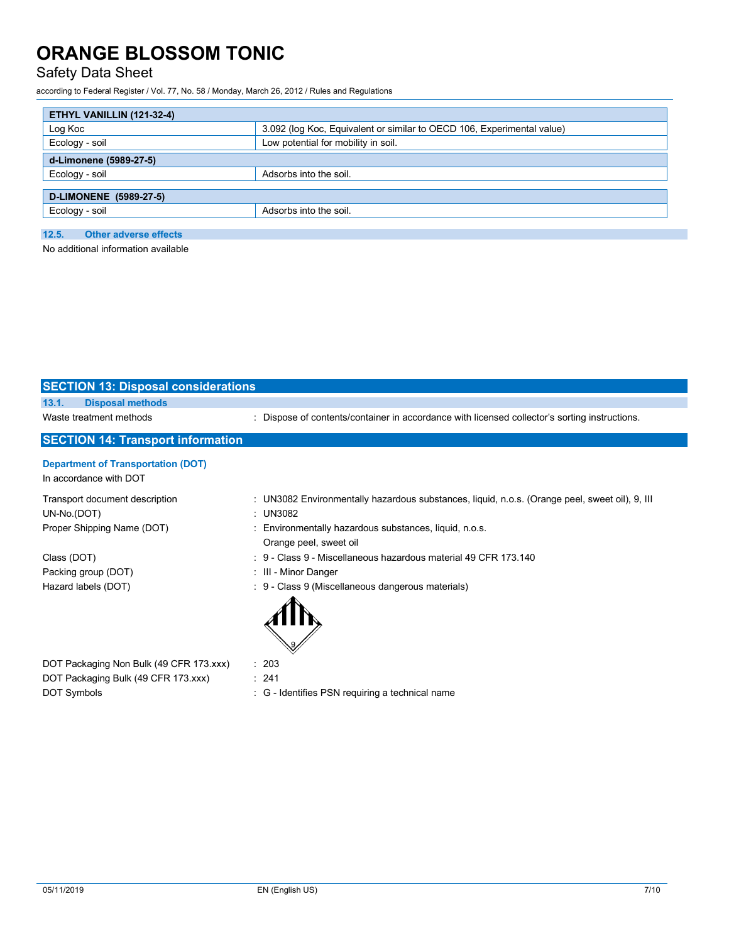### Safety Data Sheet

according to Federal Register / Vol. 77, No. 58 / Monday, March 26, 2012 / Rules and Regulations

| ETHYL VANILLIN (121-32-4)                                              |  |
|------------------------------------------------------------------------|--|
| 3.092 (log Koc, Equivalent or similar to OECD 106, Experimental value) |  |
| Low potential for mobility in soil.                                    |  |
| d-Limonene (5989-27-5)                                                 |  |
| Adsorbs into the soil.                                                 |  |
|                                                                        |  |
| Adsorbs into the soil.                                                 |  |
|                                                                        |  |
|                                                                        |  |

No additional information available

| <b>SECTION 13: Disposal considerations</b>                          |                                                                                                              |
|---------------------------------------------------------------------|--------------------------------------------------------------------------------------------------------------|
| 13.1.<br><b>Disposal methods</b>                                    |                                                                                                              |
| Waste treatment methods                                             | Dispose of contents/container in accordance with licensed collector's sorting instructions.                  |
| <b>SECTION 14: Transport information</b>                            |                                                                                                              |
| <b>Department of Transportation (DOT)</b><br>In accordance with DOT |                                                                                                              |
| Transport document description<br>UN-No.(DOT)                       | : UN3082 Environmentally hazardous substances, liquid, n.o.s. (Orange peel, sweet oil), 9, III<br>: $UN3082$ |
| Proper Shipping Name (DOT)                                          | Environmentally hazardous substances, liquid, n.o.s.<br>Orange peel, sweet oil                               |
| Class (DOT)                                                         | $\div$ 9 - Class 9 - Miscellaneous hazardous material 49 CFR 173.140                                         |
| Packing group (DOT)                                                 | : III - Minor Danger                                                                                         |
| Hazard labels (DOT)                                                 | : 9 - Class 9 (Miscellaneous dangerous materials)                                                            |
| DOT Packaging Non Bulk (49 CFR 173.xxx)                             | : 203                                                                                                        |
| DOT Packaging Bulk (49 CFR 173.xxx)                                 | : 241                                                                                                        |
| DOT Symbols                                                         | : G - Identifies PSN requiring a technical name                                                              |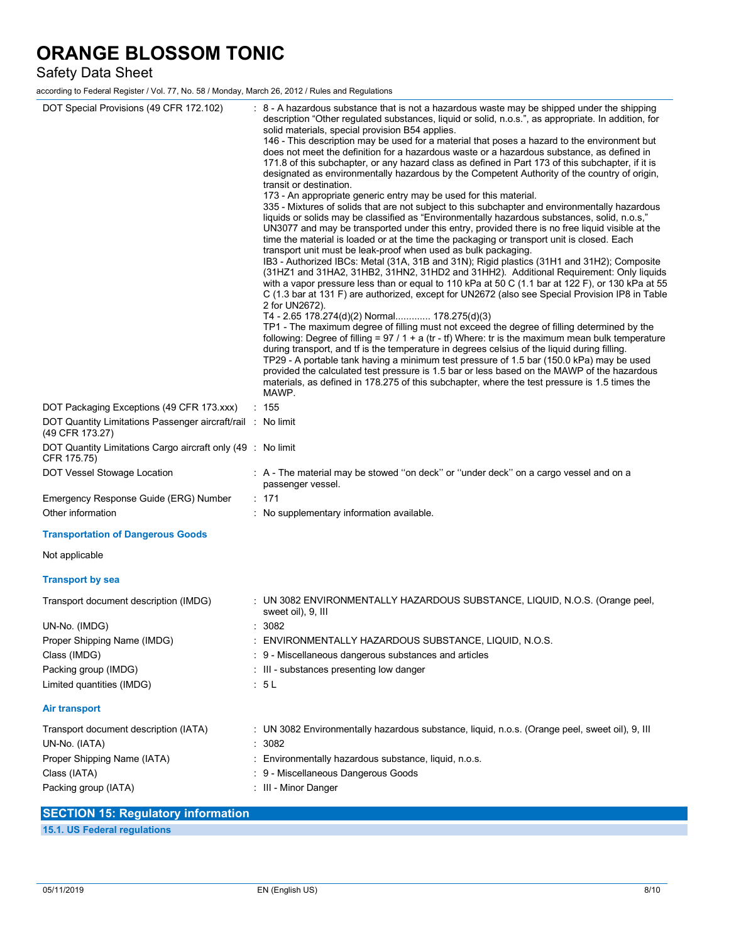### Safety Data Sheet

according to Federal Register / Vol. 77, No. 58 / Monday, March 26, 2012 / Rules and Regulations

| DOT Special Provisions (49 CFR 172.102)<br>DOT Packaging Exceptions (49 CFR 173.xxx)<br>DOT Quantity Limitations Passenger aircraft/rail : No limit | : 8 - A hazardous substance that is not a hazardous waste may be shipped under the shipping<br>description "Other regulated substances, liquid or solid, n.o.s.", as appropriate. In addition, for<br>solid materials, special provision B54 applies.<br>146 - This description may be used for a material that poses a hazard to the environment but<br>does not meet the definition for a hazardous waste or a hazardous substance, as defined in<br>171.8 of this subchapter, or any hazard class as defined in Part 173 of this subchapter, if it is<br>designated as environmentally hazardous by the Competent Authority of the country of origin,<br>transit or destination.<br>173 - An appropriate generic entry may be used for this material.<br>335 - Mixtures of solids that are not subject to this subchapter and environmentally hazardous<br>liquids or solids may be classified as "Environmentally hazardous substances, solid, n.o.s,"<br>UN3077 and may be transported under this entry, provided there is no free liquid visible at the<br>time the material is loaded or at the time the packaging or transport unit is closed. Each<br>transport unit must be leak-proof when used as bulk packaging.<br>IB3 - Authorized IBCs: Metal (31A, 31B and 31N); Rigid plastics (31H1 and 31H2); Composite<br>(31HZ1 and 31HA2, 31HB2, 31HN2, 31HD2 and 31HH2). Additional Requirement: Only liquids<br>with a vapor pressure less than or equal to 110 kPa at 50 C (1.1 bar at 122 F), or 130 kPa at 55<br>C (1.3 bar at 131 F) are authorized, except for UN2672 (also see Special Provision IP8 in Table<br>2 for UN2672).<br>T4 - 2.65 178.274(d)(2) Normal 178.275(d)(3)<br>TP1 - The maximum degree of filling must not exceed the degree of filling determined by the<br>following: Degree of filling = $97 / 1 + a$ (tr - tf) Where: tr is the maximum mean bulk temperature<br>during transport, and if is the temperature in degrees celsius of the liquid during filling.<br>TP29 - A portable tank having a minimum test pressure of 1.5 bar (150.0 kPa) may be used<br>provided the calculated test pressure is 1.5 bar or less based on the MAWP of the hazardous<br>materials, as defined in 178.275 of this subchapter, where the test pressure is 1.5 times the<br>MAWP.<br>$\therefore$ 155 |
|-----------------------------------------------------------------------------------------------------------------------------------------------------|--------------------------------------------------------------------------------------------------------------------------------------------------------------------------------------------------------------------------------------------------------------------------------------------------------------------------------------------------------------------------------------------------------------------------------------------------------------------------------------------------------------------------------------------------------------------------------------------------------------------------------------------------------------------------------------------------------------------------------------------------------------------------------------------------------------------------------------------------------------------------------------------------------------------------------------------------------------------------------------------------------------------------------------------------------------------------------------------------------------------------------------------------------------------------------------------------------------------------------------------------------------------------------------------------------------------------------------------------------------------------------------------------------------------------------------------------------------------------------------------------------------------------------------------------------------------------------------------------------------------------------------------------------------------------------------------------------------------------------------------------------------------------------------------------------------------------------------------------------------------------------------------------------------------------------------------------------------------------------------------------------------------------------------------------------------------------------------------------------------------------------------------------------------------------------------------------------------------------------------------------------------------------------------------------------------------------------|
| (49 CFR 173.27)<br>DOT Quantity Limitations Cargo aircraft only (49 : No limit<br>CFR 175.75)                                                       |                                                                                                                                                                                                                                                                                                                                                                                                                                                                                                                                                                                                                                                                                                                                                                                                                                                                                                                                                                                                                                                                                                                                                                                                                                                                                                                                                                                                                                                                                                                                                                                                                                                                                                                                                                                                                                                                                                                                                                                                                                                                                                                                                                                                                                                                                                                                |
| DOT Vessel Stowage Location                                                                                                                         | : A - The material may be stowed "on deck" or "under deck" on a cargo vessel and on a<br>passenger vessel.                                                                                                                                                                                                                                                                                                                                                                                                                                                                                                                                                                                                                                                                                                                                                                                                                                                                                                                                                                                                                                                                                                                                                                                                                                                                                                                                                                                                                                                                                                                                                                                                                                                                                                                                                                                                                                                                                                                                                                                                                                                                                                                                                                                                                     |
| Emergency Response Guide (ERG) Number                                                                                                               | : 171                                                                                                                                                                                                                                                                                                                                                                                                                                                                                                                                                                                                                                                                                                                                                                                                                                                                                                                                                                                                                                                                                                                                                                                                                                                                                                                                                                                                                                                                                                                                                                                                                                                                                                                                                                                                                                                                                                                                                                                                                                                                                                                                                                                                                                                                                                                          |
| Other information                                                                                                                                   | : No supplementary information available.                                                                                                                                                                                                                                                                                                                                                                                                                                                                                                                                                                                                                                                                                                                                                                                                                                                                                                                                                                                                                                                                                                                                                                                                                                                                                                                                                                                                                                                                                                                                                                                                                                                                                                                                                                                                                                                                                                                                                                                                                                                                                                                                                                                                                                                                                      |
| <b>Transportation of Dangerous Goods</b>                                                                                                            |                                                                                                                                                                                                                                                                                                                                                                                                                                                                                                                                                                                                                                                                                                                                                                                                                                                                                                                                                                                                                                                                                                                                                                                                                                                                                                                                                                                                                                                                                                                                                                                                                                                                                                                                                                                                                                                                                                                                                                                                                                                                                                                                                                                                                                                                                                                                |
| Not applicable                                                                                                                                      |                                                                                                                                                                                                                                                                                                                                                                                                                                                                                                                                                                                                                                                                                                                                                                                                                                                                                                                                                                                                                                                                                                                                                                                                                                                                                                                                                                                                                                                                                                                                                                                                                                                                                                                                                                                                                                                                                                                                                                                                                                                                                                                                                                                                                                                                                                                                |
| <b>Transport by sea</b>                                                                                                                             |                                                                                                                                                                                                                                                                                                                                                                                                                                                                                                                                                                                                                                                                                                                                                                                                                                                                                                                                                                                                                                                                                                                                                                                                                                                                                                                                                                                                                                                                                                                                                                                                                                                                                                                                                                                                                                                                                                                                                                                                                                                                                                                                                                                                                                                                                                                                |
| Transport document description (IMDG)                                                                                                               | : UN 3082 ENVIRONMENTALLY HAZARDOUS SUBSTANCE, LIQUID, N.O.S. (Orange peel,<br>sweet oil), 9, III                                                                                                                                                                                                                                                                                                                                                                                                                                                                                                                                                                                                                                                                                                                                                                                                                                                                                                                                                                                                                                                                                                                                                                                                                                                                                                                                                                                                                                                                                                                                                                                                                                                                                                                                                                                                                                                                                                                                                                                                                                                                                                                                                                                                                              |
| UN-No. (IMDG)                                                                                                                                       | .3082                                                                                                                                                                                                                                                                                                                                                                                                                                                                                                                                                                                                                                                                                                                                                                                                                                                                                                                                                                                                                                                                                                                                                                                                                                                                                                                                                                                                                                                                                                                                                                                                                                                                                                                                                                                                                                                                                                                                                                                                                                                                                                                                                                                                                                                                                                                          |
| Proper Shipping Name (IMDG)                                                                                                                         | : ENVIRONMENTALLY HAZARDOUS SUBSTANCE, LIQUID, N.O.S.                                                                                                                                                                                                                                                                                                                                                                                                                                                                                                                                                                                                                                                                                                                                                                                                                                                                                                                                                                                                                                                                                                                                                                                                                                                                                                                                                                                                                                                                                                                                                                                                                                                                                                                                                                                                                                                                                                                                                                                                                                                                                                                                                                                                                                                                          |
| Class (IMDG)                                                                                                                                        | : 9 - Miscellaneous dangerous substances and articles                                                                                                                                                                                                                                                                                                                                                                                                                                                                                                                                                                                                                                                                                                                                                                                                                                                                                                                                                                                                                                                                                                                                                                                                                                                                                                                                                                                                                                                                                                                                                                                                                                                                                                                                                                                                                                                                                                                                                                                                                                                                                                                                                                                                                                                                          |
| Packing group (IMDG)                                                                                                                                | : III - substances presenting low danger                                                                                                                                                                                                                                                                                                                                                                                                                                                                                                                                                                                                                                                                                                                                                                                                                                                                                                                                                                                                                                                                                                                                                                                                                                                                                                                                                                                                                                                                                                                                                                                                                                                                                                                                                                                                                                                                                                                                                                                                                                                                                                                                                                                                                                                                                       |
| Limited quantities (IMDG)                                                                                                                           | : 5L                                                                                                                                                                                                                                                                                                                                                                                                                                                                                                                                                                                                                                                                                                                                                                                                                                                                                                                                                                                                                                                                                                                                                                                                                                                                                                                                                                                                                                                                                                                                                                                                                                                                                                                                                                                                                                                                                                                                                                                                                                                                                                                                                                                                                                                                                                                           |
| <b>Air transport</b>                                                                                                                                |                                                                                                                                                                                                                                                                                                                                                                                                                                                                                                                                                                                                                                                                                                                                                                                                                                                                                                                                                                                                                                                                                                                                                                                                                                                                                                                                                                                                                                                                                                                                                                                                                                                                                                                                                                                                                                                                                                                                                                                                                                                                                                                                                                                                                                                                                                                                |
| Transport document description (IATA)                                                                                                               | : UN 3082 Environmentally hazardous substance, liquid, n.o.s. (Orange peel, sweet oil), 9, III                                                                                                                                                                                                                                                                                                                                                                                                                                                                                                                                                                                                                                                                                                                                                                                                                                                                                                                                                                                                                                                                                                                                                                                                                                                                                                                                                                                                                                                                                                                                                                                                                                                                                                                                                                                                                                                                                                                                                                                                                                                                                                                                                                                                                                 |
| UN-No. (IATA)                                                                                                                                       | : 3082                                                                                                                                                                                                                                                                                                                                                                                                                                                                                                                                                                                                                                                                                                                                                                                                                                                                                                                                                                                                                                                                                                                                                                                                                                                                                                                                                                                                                                                                                                                                                                                                                                                                                                                                                                                                                                                                                                                                                                                                                                                                                                                                                                                                                                                                                                                         |
| Proper Shipping Name (IATA)                                                                                                                         | : Environmentally hazardous substance, liquid, n.o.s.                                                                                                                                                                                                                                                                                                                                                                                                                                                                                                                                                                                                                                                                                                                                                                                                                                                                                                                                                                                                                                                                                                                                                                                                                                                                                                                                                                                                                                                                                                                                                                                                                                                                                                                                                                                                                                                                                                                                                                                                                                                                                                                                                                                                                                                                          |
| Class (IATA)                                                                                                                                        | : 9 - Miscellaneous Dangerous Goods                                                                                                                                                                                                                                                                                                                                                                                                                                                                                                                                                                                                                                                                                                                                                                                                                                                                                                                                                                                                                                                                                                                                                                                                                                                                                                                                                                                                                                                                                                                                                                                                                                                                                                                                                                                                                                                                                                                                                                                                                                                                                                                                                                                                                                                                                            |
| Packing group (IATA)                                                                                                                                | : III - Minor Danger                                                                                                                                                                                                                                                                                                                                                                                                                                                                                                                                                                                                                                                                                                                                                                                                                                                                                                                                                                                                                                                                                                                                                                                                                                                                                                                                                                                                                                                                                                                                                                                                                                                                                                                                                                                                                                                                                                                                                                                                                                                                                                                                                                                                                                                                                                           |
| OPTATIALLE: Dearlation: infearmath>                                                                                                                 |                                                                                                                                                                                                                                                                                                                                                                                                                                                                                                                                                                                                                                                                                                                                                                                                                                                                                                                                                                                                                                                                                                                                                                                                                                                                                                                                                                                                                                                                                                                                                                                                                                                                                                                                                                                                                                                                                                                                                                                                                                                                                                                                                                                                                                                                                                                                |

|  |                              | SECTION 15: Requisitory Information |
|--|------------------------------|-------------------------------------|
|  | 15.1. US Federal regulations |                                     |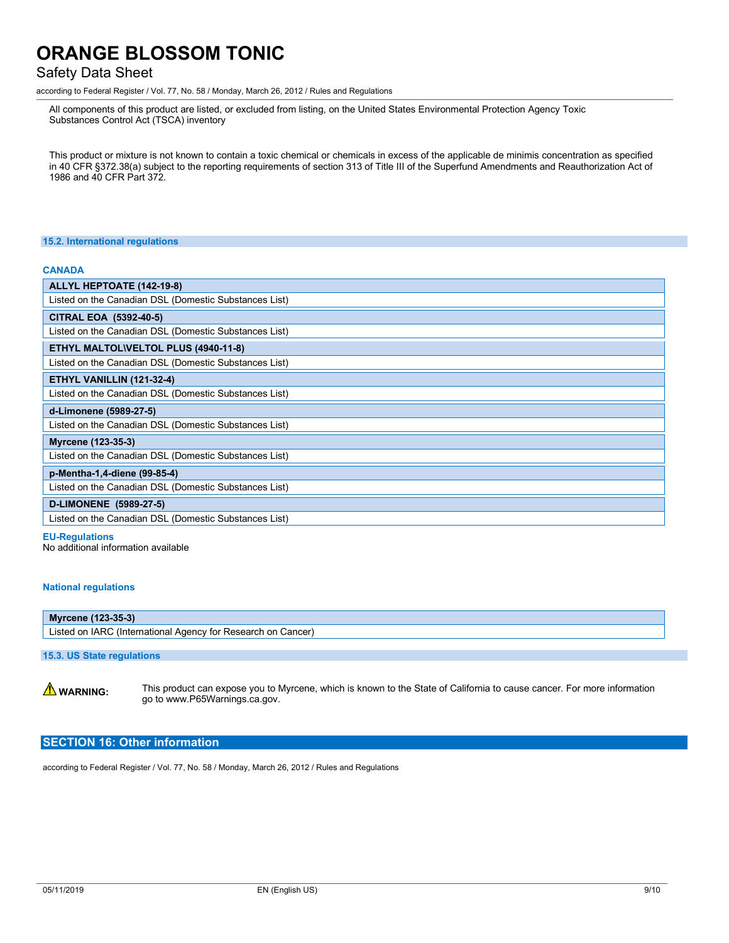### Safety Data Sheet

according to Federal Register / Vol. 77, No. 58 / Monday, March 26, 2012 / Rules and Regulations

All components of this product are listed, or excluded from listing, on the United States Environmental Protection Agency Toxic Substances Control Act (TSCA) inventory

This product or mixture is not known to contain a toxic chemical or chemicals in excess of the applicable de minimis concentration as specified in 40 CFR §372.38(a) subject to the reporting requirements of section 313 of Title III of the Superfund Amendments and Reauthorization Act of 1986 and 40 CFR Part 372.

#### **15.2. International regulations**

#### **CANADA**

| ALLYL HEPTOATE (142-19-8)                             |
|-------------------------------------------------------|
| Listed on the Canadian DSL (Domestic Substances List) |
| CITRAL EOA (5392-40-5)                                |
| Listed on the Canadian DSL (Domestic Substances List) |
| ETHYL MALTOL\VELTOL PLUS (4940-11-8)                  |
| Listed on the Canadian DSL (Domestic Substances List) |
| ETHYL VANILLIN (121-32-4)                             |
| Listed on the Canadian DSL (Domestic Substances List) |
| d-Limonene (5989-27-5)                                |
| Listed on the Canadian DSL (Domestic Substances List) |
|                                                       |
| Myrcene (123-35-3)                                    |
| Listed on the Canadian DSL (Domestic Substances List) |
| p-Mentha-1,4-diene (99-85-4)                          |
| Listed on the Canadian DSL (Domestic Substances List) |
| D-LIMONENE (5989-27-5)                                |
| Listed on the Canadian DSL (Domestic Substances List) |

**EU-Regulations** 

No additional information available

#### **National regulations**

## **Myrcene (123-35-3)**

Listed on IARC (International Agency for Research on Cancer)

### **15.3. US State regulations**

**A WARNING:** This product can expose you to Myrcene, which is known to the State of California to cause cancer. For more information go to www.P65Warnings.ca.gov.

### **SECTION 16: Other information**

according to Federal Register / Vol. 77, No. 58 / Monday, March 26, 2012 / Rules and Regulations